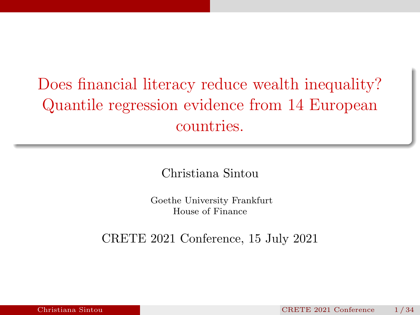# Does financial literacy reduce wealth inequality? Quantile regression evidence from 14 European countries.

Christiana Sintou

Goethe University Frankfurt House of Finance

CRETE 2021 Conference, 15 July 2021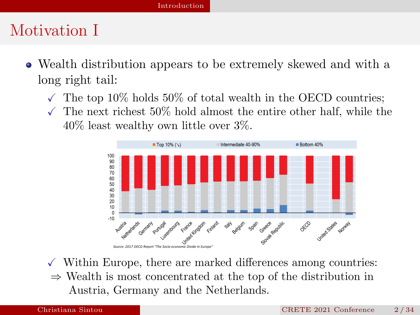#### <span id="page-1-0"></span>Motivation I

- Wealth distribution appears to be extremely skewed and with a long right tail:
	- $\sqrt{\ }$  The top 10% holds 50% of total wealth in the OECD countries;
	- $\checkmark$  The next richest 50% hold almost the entire other half, while the 40% least wealthy own little over 3%.



- $\checkmark$  Within Europe, there are marked differences among countries:
- ⇒ Wealth is most concentrated at the top of the distribution in Austria, Germany and the Netherlands.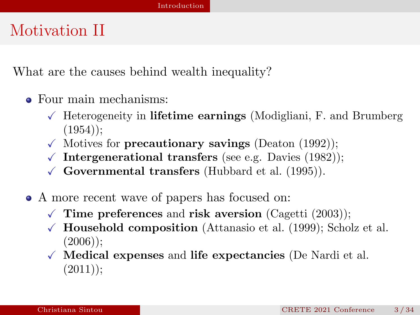### Motivation II

What are the causes behind wealth inequality?

- Four main mechanisms:
	- $\sqrt{\ }$  Heterogeneity in lifetime earnings [\(Modigliani, F. and Brumberg](#page-33-0)  $(1954)$ ;
	- $\checkmark$  Motives for **precautionary savings** [\(Deaton \(1992\)](#page-33-1));
	- $\sqrt{\frac{1}{2}}$  Intergenerational transfers (see e.g. [Davies \(1982\)](#page-33-2));
	- $\checkmark$  Governmental transfers [\(Hubbard et al. \(1995\)](#page-33-3)).
- A more recent wave of papers has focused on:
	- $\sqrt{\ }$  Time preferences and risk aversion [\(Cagetti \(2003\)](#page-33-4));
	- $\sqrt{\phantom{a}}$  Household composition [\(Attanasio et al. \(1999\)](#page-33-5); [Scholz et al.](#page-33-6)  $(2006)$ ;
	- $\sqrt{\phantom{a}}$  Medical expenses and life expectancies [\(De Nardi et al.](#page-33-7)  $(2011)$ :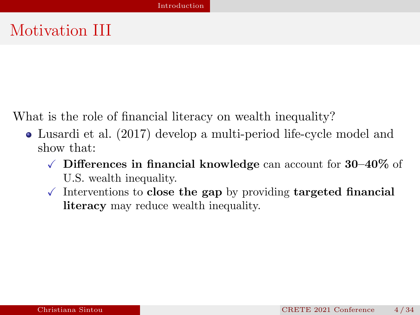### Motivation III

What is the role of financial literacy on wealth inequality?

- [Lusardi et al. \(2017\)](#page-33-8) develop a multi-period life-cycle model and show that:
	- $\sqrt{\phantom{a}}$  Differences in financial knowledge can account for 30–40% of U.S. wealth inequality.
	- $\sqrt{\ }$  Interventions to close the gap by providing targeted financial literacy may reduce wealth inequality.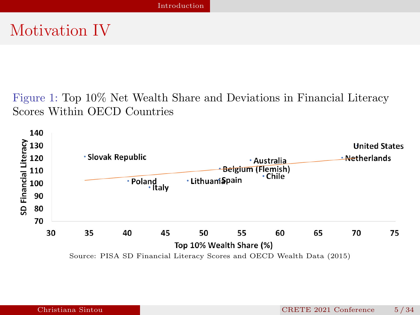### Motivation IV

Figure 1: Top 10% Net Wealth Share and Deviations in Financial Literacy Scores Within OECD Countries

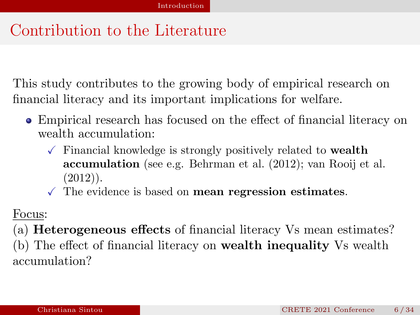### Contribution to the Literature

This study contributes to the growing body of empirical research on financial literacy and its important implications for welfare.

- Empirical research has focused on the effect of financial literacy on wealth accumulation:
	- $\sqrt{\ }$  Financial knowledge is strongly positively related to **wealth** accumulation (see e.g. [Behrman et al. \(2012\)](#page-33-9); [van Rooij et al.](#page-33-10)  $(2012)$ .
	- $\sqrt{\ }$  The evidence is based on **mean regression estimates**.

#### Focus:

(a) Heterogeneous effects of financial literacy Vs mean estimates? (b) The effect of financial literacy on wealth inequality Vs wealth accumulation?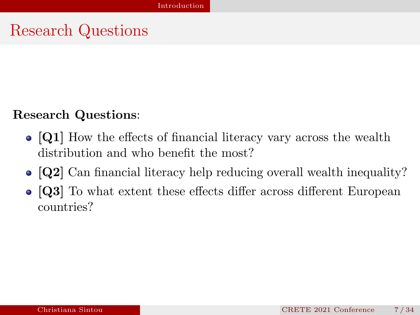#### Research Questions

#### Research Questions:

- [Q1] How the effects of financial literacy vary across the wealth distribution and who benefit the most?
- [Q2] Can financial literacy help reducing overall wealth inequality?
- [Q3] To what extent these effects differ across different European countries?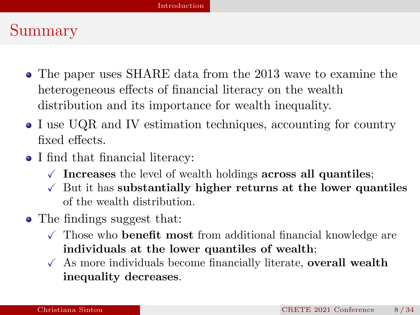### Summary

- The paper uses SHARE data from the 2013 wave to examine the heterogeneous effects of financial literacy on the wealth distribution and its importance for wealth inequality.
- I use UQR and IV estimation techniques, accounting for country fixed effects.
- I find that financial literacy:
	- $\sqrt{\ }$  Increases the level of wealth holdings across all quantiles;
	- $\sqrt{\ }$  But it has substantially higher returns at the lower quantiles of the wealth distribution.
- The findings suggest that:
	- $\checkmark$  Those who **benefit most** from additional financial knowledge are individuals at the lower quantiles of wealth;
	- $\checkmark$  As more individuals become financially literate, overall wealth inequality decreases.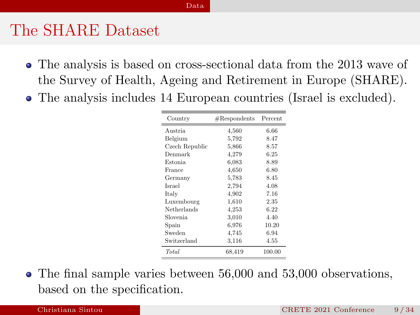#### [Data](#page-8-0)

#### <span id="page-8-0"></span>The SHARE Dataset

- The analysis is based on cross-sectional data from the 2013 wave of the Survey of Health, Ageing and Retirement in Europe (SHARE).
- The analysis includes 14 European countries (Israel is excluded).

| Country        | #Response | Percent |
|----------------|-----------|---------|
| Austria        | 4,560     | 6.66    |
| Belgium        | 5,792     | 8.47    |
| Czech Republic | 5,866     | 8.57    |
| Denmark        | 4,279     | 6.25    |
| Estonia        | 6.083     | 8.89    |
| France         | 4,650     | 6.80    |
| Germany        | 5,783     | 8.45    |
| Israel         | 2,794     | 4.08    |
| Italy          | 4,902     | 7.16    |
| Luxembourg     | 1,610     | 2.35    |
| Netherlands    | 4,253     | 6.22    |
| Slovenia       | 3,010     | 4.40    |
| Spain          | 6,976     | 10.20   |
| Sweden         | 4,745     | 6.94    |
| Switzerland    | 3.116     | 4.55    |
| Total          | 68,419    | 100.00  |

The final sample varies between 56,000 and 53,000 observations, based on the specification.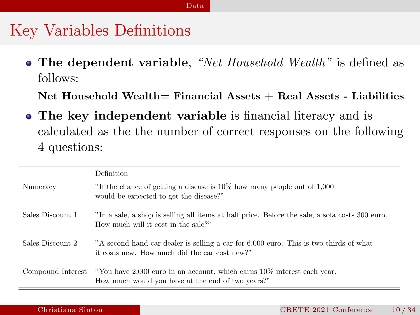#### [Data](#page-8-0)

#### Key Variables Definitions

• The dependent variable, "Net Household Wealth" is defined as follows:

Net Household Wealth= Financial Assets + Real Assets - Liabilities

The key independent variable is financial literacy and is calculated as the the number of correct responses on the following 4 questions:

|                  | Definition                                                                                                                                     |
|------------------|------------------------------------------------------------------------------------------------------------------------------------------------|
| Numeracy         | "If the chance of getting a disease is $10\%$ how many people out of 1,000<br>would be expected to get the disease?"                           |
| Sales Discount 1 | "In a sale, a shop is selling all items at half price. Before the sale, a sofa costs 300 euro.<br>How much will it cost in the sale?"          |
| Sales Discount 2 | "A second hand car dealer is selling a car for 6,000 euro. This is two-thirds of what<br>it costs new. How much did the car cost new?"         |
|                  | Compound Interest "You have 2,000 euro in an account, which earns 10% interest each year.<br>How much would you have at the end of two years?" |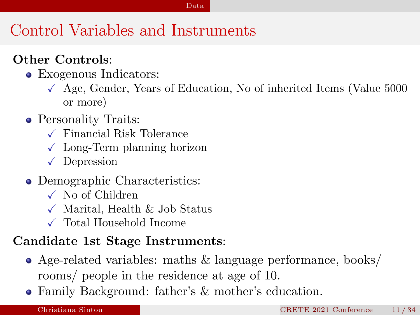#### [Data](#page-8-0)

# Control Variables and Instruments

#### Other Controls:

- Exogenous Indicators:
	- $\sqrt{\phantom{a}}$  Age, Gender, Years of Education, No of inherited Items (Value 5000) or more)
- Personality Traits:
	- $\sqrt{\ }$  Financial Risk Tolerance
	- $\sqrt{\phantom{a}}$  Long-Term planning horizon
	- $\sqrt{\phantom{a}}$  Depression
- Demographic Characteristics:
	- $\sqrt{N}$  No of Children
	- $\checkmark$  Marital, Health & Job Status
	- $\checkmark$  Total Household Income

#### Candidate 1st Stage Instruments:

- Age-related variables: maths & language performance, books/ rooms/ people in the residence at age of 10.
- Family Background: father's & mother's education.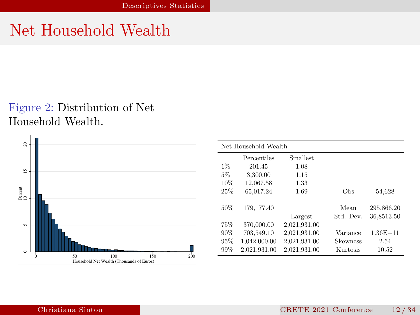# <span id="page-11-0"></span>Net Household Wealth

#### Figure 2: Distribution of Net Household Wealth.



|       | Net Household Wealth |                 |                 |              |
|-------|----------------------|-----------------|-----------------|--------------|
|       | Percentiles          | <b>Smallest</b> |                 |              |
| $1\%$ | 201.45               | 1.08            |                 |              |
| 5%    | 3.300.00             | 1.15            |                 |              |
| 10%   | 12.067.58            | 1.33            |                 |              |
| 25%   | 65.017.24            | 1.69            | Obs             | 54.628       |
| 50%   | 179.177.40           |                 | Mean            | 295.866.20   |
|       |                      | Largest         | Std. Dev.       | 36,8513.50   |
| 75%   | 370,000.00           | 2,021,931.00    |                 |              |
| 90%   | 703.549.10           | 2,021,931.00    | Variance        | $1.36E + 11$ |
| 95%   | 1.042.000.00         | 2.021.931.00    | <b>Skewness</b> | 2.54         |
| 99%   | 2.021.931.00         | 2.021.931.00    | Kurtosis        | 10.52        |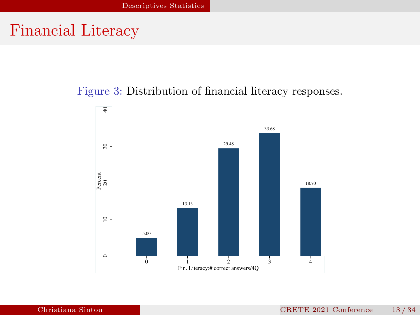#### Financial Literacy

#### Figure 3: Distribution of financial literacy responses.

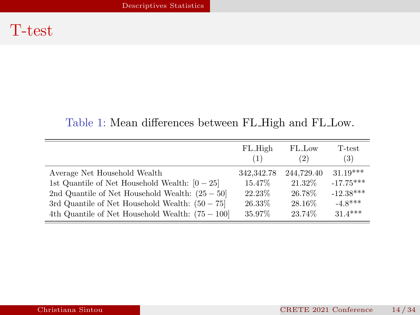#### Table 1: Mean differences between FL High and FL Low.

|                                                   | FL_High    | FL_Low     | T-test      |
|---------------------------------------------------|------------|------------|-------------|
|                                                   | (1)        | (2)        | (3)         |
| Average Net Household Wealth                      | 342,342.78 | 244,729.40 | $31.19***$  |
| 1st Quantile of Net Household Wealth: $[0 - 25]$  | 15.47%     | 21.32%     | $-17.75***$ |
| 2nd Quantile of Net Household Wealth: $(25-50)$   | 22.23%     | 26.78%     | $-12.38***$ |
| 3rd Quantile of Net Household Wealth: $(50 - 75)$ | 26.33%     | 28.16\%    | $-4.8***$   |
| 4th Quantile of Net Household Wealth: $(75-100)$  | 35.97%     | 23.74%     | $31.4***$   |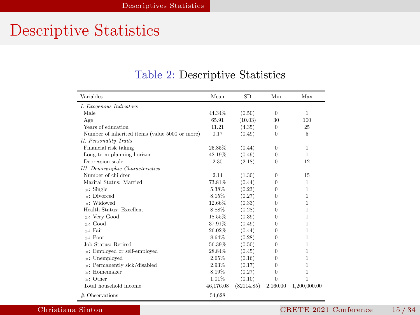# Descriptive Statistics

| Variables                                      | Mean      | <b>SD</b>  | Min      | Max          |
|------------------------------------------------|-----------|------------|----------|--------------|
| I. Exogenous Indicators                        |           |            |          |              |
| Male                                           | 44.34%    | (0.50)     | $\Omega$ | 1            |
| Age                                            | 65.91     | (10.03)    | 30       | 100          |
| Years of education                             | 11.21     | (4.35)     | $\Omega$ | 25           |
| Number of inherited items (value 5000 or more) | 0.17      | (0.49)     | $\Omega$ | 5            |
| <b>II.</b> Personality Traits                  |           |            |          |              |
| Financial risk taking                          | 25.85%    | (0.44)     | $\Omega$ | 1            |
| Long-term planning horizon                     | 42.19%    | (0.49)     | $\Omega$ | 1.           |
| Depression scale                               | 2.30      | (2.18)     | $\Omega$ | 12           |
| <b>III.</b> Demographic Characteristics        |           |            |          |              |
| Number of children                             | 2.14      | (1.30)     | $\Omega$ | 15           |
| Marital Status: Married                        | 73.81%    | (0.44)     | $\Omega$ | $\mathbf{1}$ |
| $\gg$ : Single                                 | 5.38%     | (0.23)     | $\Omega$ | 1            |
| Divorced<br>S.                                 | 8.15%     | (0.27)     | $\Omega$ | 1            |
| - Widowed                                      | 12.66%    | (0.33)     | $\Omega$ | 1            |
| Health Status: Excellent                       | 8.88%     | (0.28)     | $\Omega$ | 1            |
| »: Very Good                                   | 18.55%    | (0.39)     | $\Omega$ | 1            |
| $\mathbb{R}$ : Good                            | 37.91%    | (0.49)     | $\Omega$ | 1            |
| √: Fair                                        | 26.02%    | (0.44)     | $\Omega$ | 1            |
| $\sim$ : Poor                                  | 8.64%     | (0.28)     | 0        | 1            |
| Job Status: Retired                            | 56.39%    | (0.50)     | $\Omega$ | 1            |
| »: Employed or self-employed                   | 28.84%    | (0.45)     | $\Omega$ | 1            |
| »: Unemployed                                  | 2.65%     | (0.16)     | $\Omega$ | 1            |
| »: Permanently sick/disabled                   | 2.93%     | (0.17)     | $\Omega$ | 1            |
| Homemaker<br>s:                                | 8.19%     | (0.27)     | $\Omega$ | 1            |
| »: Other                                       | 1.01%     | (0.10)     | $\Omega$ | 1            |
| Total household income                         | 46.176.08 | (82114.85) | 2,160.00 | 1,200,000.00 |
| # Observations                                 | 54.628    |            |          |              |

#### Table 2: Descriptive Statistics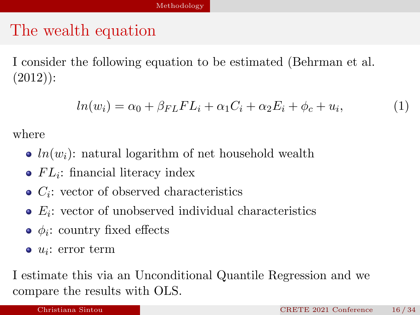### <span id="page-15-0"></span>The wealth equation

I consider the following equation to be estimated [\(Behrman et al.](#page-33-9)  $(2012)$ :

$$
ln(w_i) = \alpha_0 + \beta_{FL} FL_i + \alpha_1 C_i + \alpha_2 E_i + \phi_c + u_i,
$$
\n(1)

where

- $ln(w_i)$ : natural logarithm of net household wealth
- $FL_i$ : financial literacy index
- $C_i$ : vector of observed characteristics
- $E_i$ : vector of unobserved individual characteristics
- $\phi_i$ : country fixed effects
- $u_i$ : error term

I estimate this via an Unconditional Quantile Regression and we compare the results with OLS.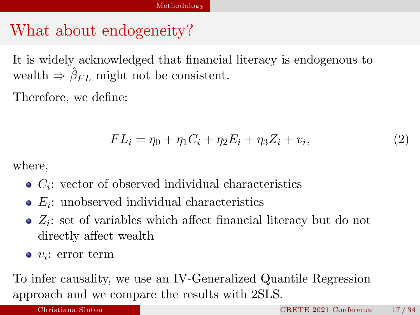### What about endogeneity?

It is widely acknowledged that financial literacy is endogenous to wealth  $\Rightarrow \hat{\beta}_{FL}$  might not be consistent.

Therefore, we define:

$$
FL_i = \eta_0 + \eta_1 C_i + \eta_2 E_i + \eta_3 Z_i + v_i,
$$
\n(2)

where,

- $C_i$ : vector of observed individual characteristics
- $E_i$ : unobserved individual characteristics
- $Z_i$ : set of variables which affect financial literacy but do not directly affect wealth
- $v_i$ : error term

To infer causality, we use an IV-Generalized Quantile Regression approach and we compare the results with 2SLS.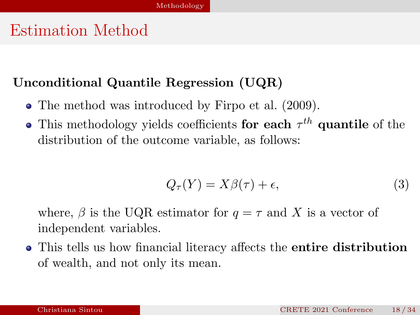### Estimation Method

#### Unconditional Quantile Regression (UQR)

- The method was introduced by Firpo et al.  $(2009)$ .
- This methodology yields coefficients for each  $\tau^{th}$  quantile of the distribution of the outcome variable, as follows:

$$
Q_{\tau}(Y) = X\beta(\tau) + \epsilon,\tag{3}
$$

where,  $\beta$  is the UQR estimator for  $q = \tau$  and X is a vector of independent variables.

• This tells us how financial literacy affects the **entire distribution** of wealth, and not only its mean.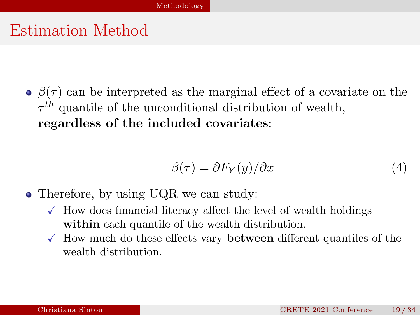#### Estimation Method

 $\phi(\tau)$  can be interpreted as the marginal effect of a covariate on the  $\tau^{th}$  quantile of the unconditional distribution of wealth, regardless of the included covariates:

$$
\beta(\tau) = \partial F_Y(y)/\partial x \tag{4}
$$

- Therefore, by using UQR we can study:
	- $\sqrt{\ }$  How does financial literacy affect the level of wealth holdings within each quantile of the wealth distribution.
	- $\checkmark$  How much do these effects vary **between** different quantiles of the wealth distribution.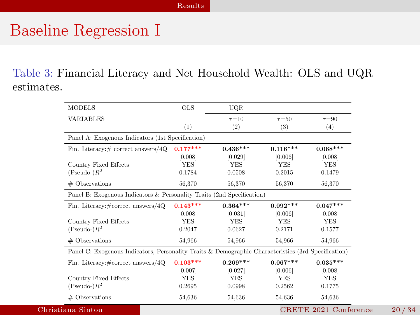#### <span id="page-19-0"></span>Baseline Regression I

Table 3: Financial Literacy and Net Household Wealth: OLS and UQR estimates.

| <b>MODELS</b>                                                                                       | <b>OLS</b> | UQR.        |             |             |
|-----------------------------------------------------------------------------------------------------|------------|-------------|-------------|-------------|
| VARIABLES                                                                                           |            | $\tau = 10$ | $\tau = 50$ | $\tau = 90$ |
|                                                                                                     | (1)        | (2)         | (3)         | (4)         |
| Panel A: Exogenous Indicators (1st Specification)                                                   |            |             |             |             |
| Fin. Literacy: # correct answers/4Q                                                                 | $0.177***$ | $0.436***$  | $0.116***$  | $0.068***$  |
|                                                                                                     | [0.008]    | [0.029]     | [0.006]     | [0.008]     |
| Country Fixed Effects                                                                               | <b>YES</b> | <b>YES</b>  | <b>YES</b>  | <b>YES</b>  |
| $Pseudo R^2$                                                                                        | 0.1784     | 0.0508      | 0.2015      | 0.1479      |
| # Observations                                                                                      | 56,370     | 56,370      | 56,370      | 56,370      |
| Panel B: Exogenous Indicators & Personality Traits (2nd Specification)                              |            |             |             |             |
| Fin. Literacy:#correct answers/4Q                                                                   | $0.143***$ | $0.364***$  | $0.092***$  | $0.047***$  |
|                                                                                                     | [0.008]    | [0.031]     | [0.006]     | [0.008]     |
| Country Fixed Effects                                                                               | <b>YES</b> | <b>YES</b>  | <b>YES</b>  | <b>YES</b>  |
| $Pseudo-)R^2$                                                                                       | 0.2047     | 0.0627      | 0.2171      | 0.1577      |
| # Observations                                                                                      | 54,966     | 54.966      | 54,966      | 54,966      |
| Panel C: Exogenous Indicators, Personality Traits & Demographic Characteristics (3rd Specification) |            |             |             |             |
| Fin. Literacy:#correct answers/4Q                                                                   | $0.103***$ | $0.269***$  | $0.067***$  | $0.035***$  |
|                                                                                                     | [0.007]    | [0.027]     | [0.006]     | [0.008]     |
| Country Fixed Effects                                                                               | <b>YES</b> | <b>YES</b>  | <b>YES</b>  | <b>YES</b>  |
|                                                                                                     |            |             |             |             |
| $Pseudo R^2$                                                                                        | 0.2695     | 0.0998      | 0.2562      | 0.1775      |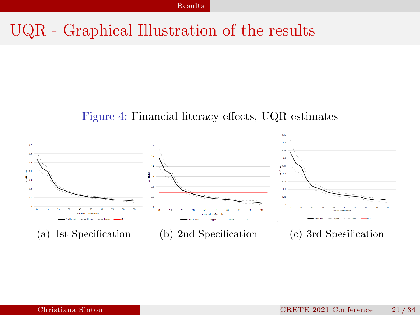### UQR - Graphical Illustration of the results

#### Figure 4: Financial literacy effects, UQR estimates

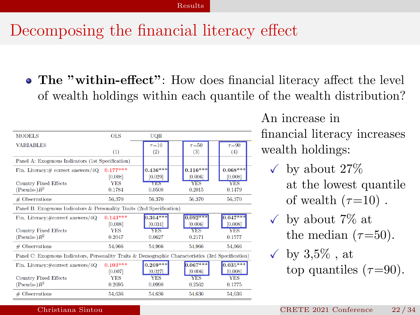## Decomposing the financial literacy effect

The "within-effect": How does financial literacy affect the level of wealth holdings within each quantile of the wealth distribution?

| <b>MODELS</b>                                                                                       | <b>OLS</b> | <b>UOR</b>  |             |             |
|-----------------------------------------------------------------------------------------------------|------------|-------------|-------------|-------------|
| <b>VARIABLES</b>                                                                                    |            | $\tau = 10$ | $\tau = 50$ | $\tau = 90$ |
|                                                                                                     | (1)        | (2)         | (3)         | (4)         |
| Panel A: Exogenous Indicators (1st Specification)                                                   |            |             |             |             |
| Fin. Literacy: # correct answers/4Q                                                                 | $0.177***$ | $0.436***$  | $0.116***$  | $0.068***$  |
|                                                                                                     | [0.008]    | [0.029]     | [0.006]     | [0.008]     |
| <b>Country Fixed Effects</b>                                                                        | <b>YES</b> | YES         | <b>YES</b>  | <b>YES</b>  |
| $(Pseudo-)R^2$                                                                                      | 0.1784     | 0.0508      | 0.2015      | 0.1479      |
| # Observations                                                                                      | 56,370     | 56,370      | 56,370      | 56,370      |
| Panel B: Exogenous Indicators & Personality Traits (2nd Specification)                              |            |             |             |             |
| Fin. Literacy:#correct answers/4Q                                                                   | $0.143***$ | $0.364***$  | $0.092***$  | $0.047***$  |
|                                                                                                     | [0.008]    | [0.031]     | [0.006]     | [0.008]     |
| <b>Country Fixed Effects</b>                                                                        | <b>YES</b> | <b>YES</b>  | <b>YES</b>  | <b>YES</b>  |
| $(Pseudo-)R^2$                                                                                      | 0.2047     | 0.0627      | 0.2171      | 0.1577      |
| # Observations                                                                                      | 54.966     | 54,966      | 54.966      | 54.966      |
| Panel C: Exogenous Indicators, Personality Traits & Demographic Characteristics (3rd Specification) |            |             |             |             |
| Fin. Literacy:#correct answers/4Q                                                                   | $0.103***$ | $0.269***$  | $0.067***$  | $0.035***$  |
|                                                                                                     | [0.007]    | [0.027]     | [0.006]     | [0.008]     |
| <b>Country Fixed Effects</b>                                                                        | <b>YES</b> | <b>YES</b>  | <b>YES</b>  | <b>YES</b>  |
| $(Pseudo-)R^2$                                                                                      | 0.2695     | 0.0998      | 0.2562      | 0.1775      |
| # Observations                                                                                      | 54,636     | 54,636      | 54,636      | 54,636      |

An increase in financial literacy increases wealth holdings:

- $\checkmark$  by about 27% at the lowest quantile of wealth  $(\tau=10)$ .
- $\checkmark$  by about 7\% at the median  $(\tau=50)$ .
- $\checkmark$  by 3.5%, at top quantiles  $(\tau=90)$ .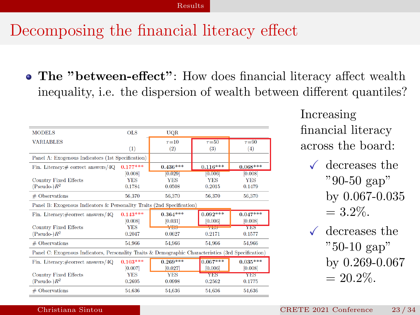### Decomposing the financial literacy effect

• The "between-effect": How does financial literacy affect wealth inequality, i.e. the dispersion of wealth between different quantiles?

| <b>OLS</b> | <b>UOR</b>                                                                                                                                                              |                       |                                                                                                                                                                                                       |
|------------|-------------------------------------------------------------------------------------------------------------------------------------------------------------------------|-----------------------|-------------------------------------------------------------------------------------------------------------------------------------------------------------------------------------------------------|
|            | $\tau = 10$                                                                                                                                                             | $\tau = 50$           | $\tau = 90$                                                                                                                                                                                           |
| (1)        | (2)                                                                                                                                                                     | (3)                   | (4)                                                                                                                                                                                                   |
|            |                                                                                                                                                                         |                       |                                                                                                                                                                                                       |
|            | $0.436***$                                                                                                                                                              | $0.116***$            | $0.068***$                                                                                                                                                                                            |
|            |                                                                                                                                                                         |                       | [0.008]                                                                                                                                                                                               |
|            |                                                                                                                                                                         |                       | <b>YES</b>                                                                                                                                                                                            |
|            | 0.0508                                                                                                                                                                  | 0.2015                | 0.1479                                                                                                                                                                                                |
|            | 56,370                                                                                                                                                                  | 56,370                | 56,370                                                                                                                                                                                                |
|            |                                                                                                                                                                         |                       |                                                                                                                                                                                                       |
|            | $0.364***$                                                                                                                                                              | $0.092***$            | $0.047***$                                                                                                                                                                                            |
| [0.008]    | [0.031]                                                                                                                                                                 | [0.006]               | [0.008]                                                                                                                                                                                               |
| <b>YFS</b> | YES.                                                                                                                                                                    | <b>The Price</b>      | YES                                                                                                                                                                                                   |
|            | 0.0627                                                                                                                                                                  | 0.2171                | 0.1577                                                                                                                                                                                                |
|            | 54.966                                                                                                                                                                  | 54,966                | 54.966                                                                                                                                                                                                |
|            |                                                                                                                                                                         |                       |                                                                                                                                                                                                       |
|            | $0.269***$                                                                                                                                                              | $0.067***$            | $0.035***$                                                                                                                                                                                            |
|            | [0.027]                                                                                                                                                                 | [0.006]               | [0.008]                                                                                                                                                                                               |
| <b>YES</b> | <b>YES</b>                                                                                                                                                              | <b>YES</b>            | <b>YES</b>                                                                                                                                                                                            |
|            |                                                                                                                                                                         |                       |                                                                                                                                                                                                       |
| 0.2695     | 0.0998                                                                                                                                                                  | 0.2562                | 0.1775                                                                                                                                                                                                |
|            | Panel A: Exogenous Indicators (1st Specification)<br>$0.177***$<br>[0.008]<br><b>YES</b><br>0.1784<br>56,370<br>$0.143***$<br>0.2047<br>54,966<br>$0.103***$<br>[0.007] | [0.029]<br><b>YES</b> | 0,006 <br><b>YES</b><br>Panel B: Exogenous Indicators & Personality Traits (2nd Specification)<br>Panel C: Exogenous Indicators, Personality Traits & Demographic Characteristics (3rd Specification) |

Increasing financial literacy across the board:

- $\checkmark$  decreases the "90-50 gap" by 0.067-0.035  $= 3.2\%$ .
- $\checkmark$  decreases the "50-10 gap" by 0.269-0.067  $= 20.2\%$ .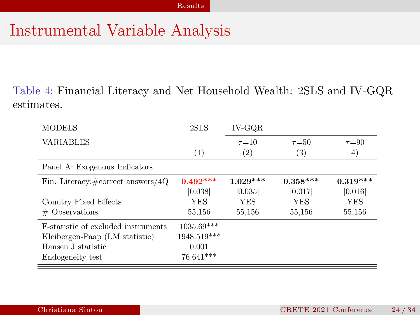### Instrumental Variable Analysis

Table 4: Financial Literacy and Net Household Wealth: 2SLS and IV-GQR estimates.

| <b>MODELS</b>                                | 2SLS          | IV-GOR            |             |             |
|----------------------------------------------|---------------|-------------------|-------------|-------------|
| <b>VARIABLES</b>                             |               | $\tau = 10$       | $\tau = 50$ | $\tau = 90$ |
|                                              | (1)           | $\left( 2\right)$ | (3)         | 4)          |
| Panel A: Exogenous Indicators                |               |                   |             |             |
| Fin. Literacy: $\#\text{correct answers}/4Q$ | $0.492***$    | $1.029***$        | $0.358***$  | $0.319***$  |
|                                              | [0.038]       | [0.035]           | [0.017]     | [0.016]     |
| Country Fixed Effects                        | YES           | <b>YES</b>        | <b>YES</b>  | YES         |
| $\#$ Observations                            | 55,156        | 55,156            | 55,156      | 55,156      |
| <b>F</b> -statistic of excluded instruments  | 1035.69***    |                   |             |             |
| Kleibergen-Paap (LM statistic)               | $1948.519***$ |                   |             |             |
| Hansen J statistic                           | 0.001         |                   |             |             |
| Endogeneity test                             | 76.641***     |                   |             |             |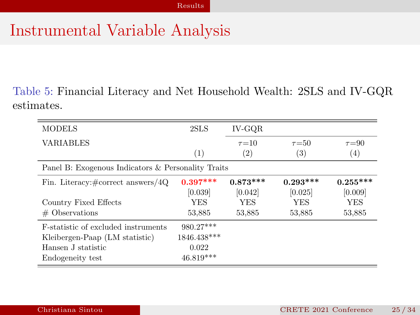#### Instrumental Variable Analysis

Table 5: Financial Literacy and Net Household Wealth: 2SLS and IV-GQR estimates.

| <b>MODELS</b>                                      | 2SLS        | IV-GOR            |                   |             |
|----------------------------------------------------|-------------|-------------------|-------------------|-------------|
| <b>VARIABLES</b>                                   |             | $\tau = 10$       | $\tau = 50$       | $\tau = 90$ |
|                                                    | (1)         | $\left( 2\right)$ | $\left( 3\right)$ | (4)         |
| Panel B: Exogenous Indicators & Personality Traits |             |                   |                   |             |
| Fin. Literacy: $\#\text{correct answers}/4Q$       | $0.397***$  | $0.873***$        | $0.293***$        | $0.255***$  |
|                                                    | [0.039]     | [0.042]           | [0.025]           | [0.009]     |
| Country Fixed Effects                              | YES         | <b>YES</b>        | YES               | YES         |
| $#$ Observations                                   | 53.885      | 53,885            | 53,885            | 53.885      |
| <b>F-statistic of excluded instruments</b>         | 980.27***   |                   |                   |             |
| Kleibergen-Paap (LM statistic)                     | 1846.438*** |                   |                   |             |
| Hansen J statistic                                 | 0.022       |                   |                   |             |
| Endogeneity test                                   | 46.819***   |                   |                   |             |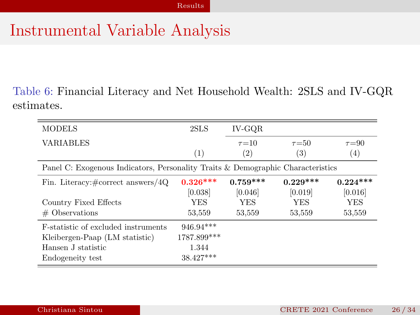#### Instrumental Variable Analysis

Table 6: Financial Literacy and Net Household Wealth: 2SLS and IV-GQR estimates.

| <b>MODELS</b>                                                                   | 2SLS        | IV-GOR            |                   |             |
|---------------------------------------------------------------------------------|-------------|-------------------|-------------------|-------------|
| <b>VARIABLES</b>                                                                |             | $\tau = 10$       | $\tau = 50$       | $\tau = 90$ |
|                                                                                 | (1)         | $\left( 2\right)$ | $\left( 3\right)$ | (4)         |
| Panel C: Exogenous Indicators, Personality Traits & Demographic Characteristics |             |                   |                   |             |
| Fin. Literacy: $\# \text{correct answers}/4Q$                                   | $0.326***$  | $0.759***$        | $0.229***$        | $0.224***$  |
|                                                                                 | [0.038]     | [0.046]           | [0.019]           | [0.016]     |
| Country Fixed Effects                                                           | YES         | <b>YES</b>        | <b>YES</b>        | YES         |
| $#$ Observations                                                                | 53,559      | 53,559            | 53,559            | 53,559      |
| <b>F</b> -statistic of excluded instruments                                     | 946.94***   |                   |                   |             |
| Kleibergen-Paap (LM statistic)                                                  | 1787.899*** |                   |                   |             |
| Hansen J statistic                                                              | 1.344       |                   |                   |             |
| Endogeneity test                                                                | $38.427***$ |                   |                   |             |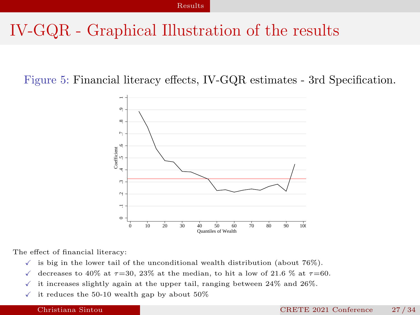### IV-GQR - Graphical Illustration of the results

Figure 5: Financial literacy effects, IV-GQR estimates - 3rd Specification.



The effect of financial literacy:

- $\checkmark$  is big in the lower tail of the unconditional wealth distribution (about 76%).
- $\checkmark$  decreases to 40% at  $\tau$ =30, 23% at the median, to hit a low of 21.6 % at  $\tau$ =60.
- $\checkmark$  it increases slightly again at the upper tail, ranging between 24% and 26%.
- $\checkmark$  it reduces the 50-10 wealth gap by about 50%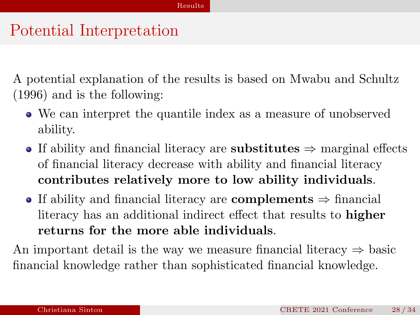#### Potential Interpretation

A potential explanation of the results is based on [Mwabu and Schultz](#page-33-12) [\(1996\)](#page-33-12) and is the following:

- We can interpret the quantile index as a measure of unobserved ability.
- If ability and financial literacy are substitutes  $\Rightarrow$  marginal effects of financial literacy decrease with ability and financial literacy contributes relatively more to low ability individuals.
- If ability and financial literacy are complements  $\Rightarrow$  financial literacy has an additional indirect effect that results to higher returns for the more able individuals.

An important detail is the way we measure financial literacy  $\Rightarrow$  basic financial knowledge rather than sophisticated financial knowledge.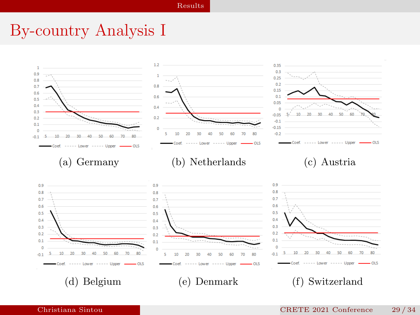#### By-country Analysis I

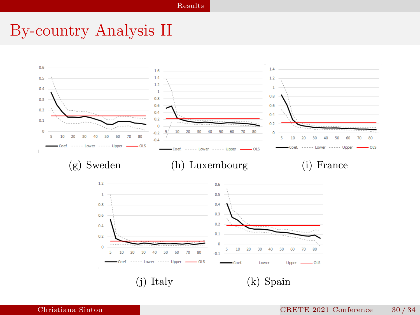#### By-country Analysis II

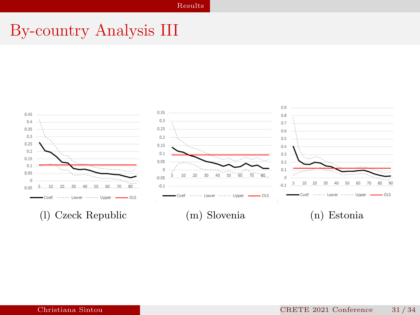#### By-country Analysis III

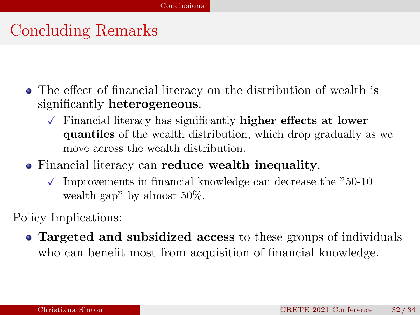# <span id="page-31-0"></span>Concluding Remarks

- The effect of financial literacy on the distribution of wealth is significantly heterogeneous.
	- $\sqrt{\ }$  Financial literacy has significantly **higher effects at lower** quantiles of the wealth distribution, which drop gradually as we move across the wealth distribution.
- Financial literacy can reduce wealth inequality.
	- $\checkmark$  Improvements in financial knowledge can decrease the "50-10" wealth gap" by almost 50%.

Policy Implications:

• Targeted and subsidized access to these groups of individuals who can benefit most from acquisition of financial knowledge.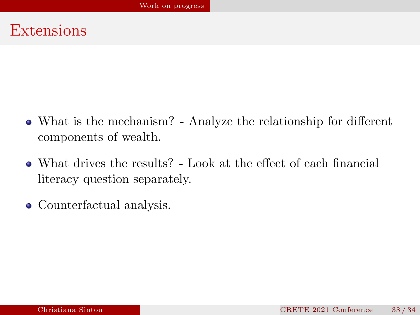#### <span id="page-32-0"></span>Extensions

- What is the mechanism? Analyze the relationship for different components of wealth.
- What drives the results? Look at the effect of each financial literacy question separately.
- Counterfactual analysis.